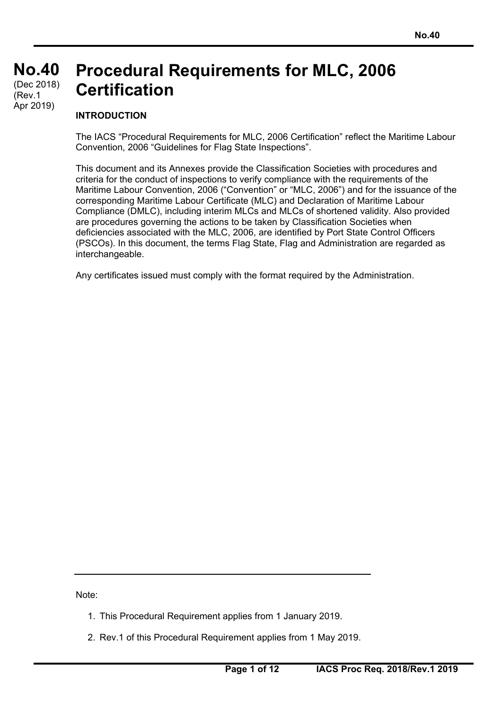#### **No.40 No.40** (Dec 2018) **Procedural Requirements for MLC, 2006 Certification**  (Rev.1

#### **INTRODUCTION**

Apr 2019)

The IACS "Procedural Requirements for MLC, 2006 Certification" reflect the Maritime Labour Convention, 2006 "Guidelines for Flag State Inspections".

This document and its Annexes provide the Classification Societies with procedures and criteria for the conduct of inspections to verify compliance with the requirements of the Maritime Labour Convention, 2006 ("Convention" or "MLC, 2006") and for the issuance of the corresponding Maritime Labour Certificate (MLC) and Declaration of Maritime Labour Compliance (DMLC), including interim MLCs and MLCs of shortened validity. Also provided are procedures governing the actions to be taken by Classification Societies when deficiencies associated with the MLC, 2006, are identified by Port State Control Officers (PSCOs). In this document, the terms Flag State, Flag and Administration are regarded as interchangeable.

Any certificates issued must comply with the format required by the Administration.

Note:

- 1. This Procedural Requirement applies from 1 January 2019.
- 2. Rev.1 of this Procedural Requirement applies from 1 May 2019.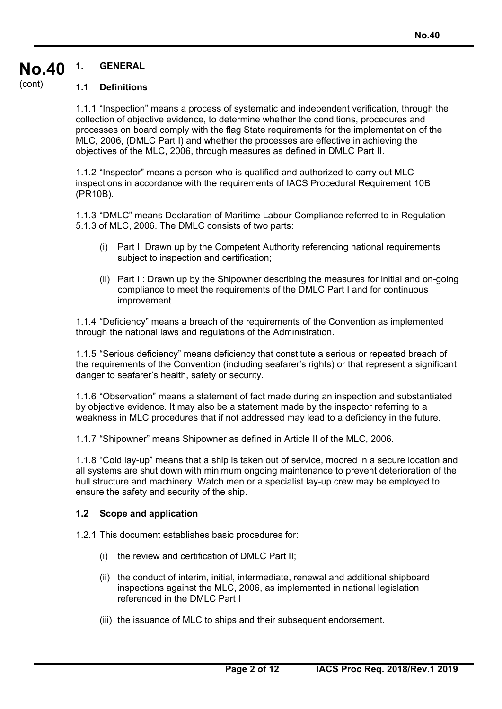#### **No.40 1. GENERAL**

#### (cont)

#### **1.1 Definitions**

1.1.1 "Inspection" means a process of systematic and independent verification, through the collection of objective evidence, to determine whether the conditions, procedures and processes on board comply with the flag State requirements for the implementation of the MLC, 2006, (DMLC Part I) and whether the processes are effective in achieving the objectives of the MLC, 2006, through measures as defined in DMLC Part II.

1.1.2 "Inspector" means a person who is qualified and authorized to carry out MLC inspections in accordance with the requirements of IACS Procedural Requirement 10B (PR10B).

1.1.3 "DMLC" means Declaration of Maritime Labour Compliance referred to in Regulation 5.1.3 of MLC, 2006. The DMLC consists of two parts:

- (i) Part I: Drawn up by the Competent Authority referencing national requirements subject to inspection and certification;
- (ii) Part II: Drawn up by the Shipowner describing the measures for initial and on-going compliance to meet the requirements of the DMLC Part I and for continuous improvement.

1.1.4 "Deficiency" means a breach of the requirements of the Convention as implemented through the national laws and regulations of the Administration.

1.1.5 "Serious deficiency" means deficiency that constitute a serious or repeated breach of the requirements of the Convention (including seafarer's rights) or that represent a significant danger to seafarer's health, safety or security.

1.1.6 "Observation" means a statement of fact made during an inspection and substantiated by objective evidence. It may also be a statement made by the inspector referring to a weakness in MLC procedures that if not addressed may lead to a deficiency in the future.

1.1.7 "Shipowner" means Shipowner as defined in Article II of the MLC, 2006.

1.1.8 "Cold lay-up" means that a ship is taken out of service, moored in a secure location and all systems are shut down with minimum ongoing maintenance to prevent deterioration of the hull structure and machinery. Watch men or a specialist lay-up crew may be employed to ensure the safety and security of the ship.

#### **1.2 Scope and application**

1.2.1 This document establishes basic procedures for:

- (i) the review and certification of DMLC Part II;
- (ii) the conduct of interim, initial, intermediate, renewal and additional shipboard inspections against the MLC, 2006, as implemented in national legislation referenced in the DMLC Part I
- (iii) the issuance of MLC to ships and their subsequent endorsement.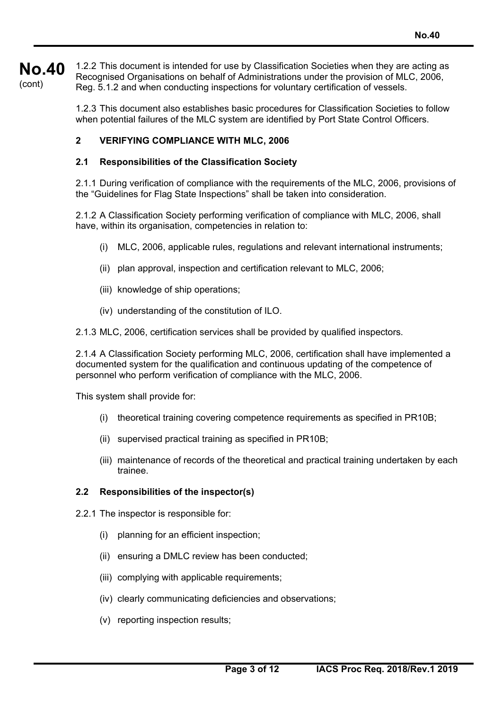**No.40**  (cont) 1.2.2 This document is intended for use by Classification Societies when they are acting as Recognised Organisations on behalf of Administrations under the provision of MLC, 2006, Reg. 5.1.2 and when conducting inspections for voluntary certification of vessels.

> 1.2.3 This document also establishes basic procedures for Classification Societies to follow when potential failures of the MLC system are identified by Port State Control Officers.

### **2 VERIFYING COMPLIANCE WITH MLC, 2006**

#### **2.1 Responsibilities of the Classification Society**

2.1.1 During verification of compliance with the requirements of the MLC, 2006, provisions of the "Guidelines for Flag State Inspections" shall be taken into consideration.

2.1.2 A Classification Society performing verification of compliance with MLC, 2006, shall have, within its organisation, competencies in relation to:

- (i) MLC, 2006, applicable rules, regulations and relevant international instruments;
- (ii) plan approval, inspection and certification relevant to MLC, 2006;
- (iii) knowledge of ship operations;
- (iv) understanding of the constitution of ILO.

2.1.3 MLC, 2006, certification services shall be provided by qualified inspectors.

2.1.4 A Classification Society performing MLC, 2006, certification shall have implemented a documented system for the qualification and continuous updating of the competence of personnel who perform verification of compliance with the MLC, 2006.

This system shall provide for:

- (i) theoretical training covering competence requirements as specified in PR10B;
- (ii) supervised practical training as specified in PR10B;
- (iii) maintenance of records of the theoretical and practical training undertaken by each trainee.

#### **2.2 Responsibilities of the inspector(s)**

- 2.2.1 The inspector is responsible for:
	- (i) planning for an efficient inspection;
	- (ii) ensuring a DMLC review has been conducted;
	- (iii) complying with applicable requirements;
	- (iv) clearly communicating deficiencies and observations;
	- (v) reporting inspection results;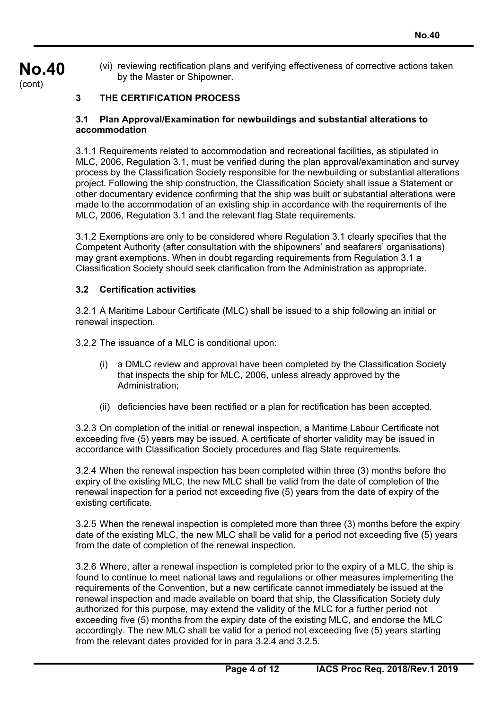(vi) reviewing rectification plans and verifying effectiveness of corrective actions taken by the Master or Shipowner.

### **3 THE CERTIFICATION PROCESS**

**No.40** 

(cont)

#### **3.1 Plan Approval/Examination for newbuildings and substantial alterations to accommodation**

3.1.1 Requirements related to accommodation and recreational facilities, as stipulated in MLC, 2006, Regulation 3.1, must be verified during the plan approval/examination and survey process by the Classification Society responsible for the newbuilding or substantial alterations project. Following the ship construction, the Classification Society shall issue a Statement or other documentary evidence confirming that the ship was built or substantial alterations were made to the accommodation of an existing ship in accordance with the requirements of the MLC, 2006, Regulation 3.1 and the relevant flag State requirements.

3.1.2 Exemptions are only to be considered where Regulation 3.1 clearly specifies that the Competent Authority (after consultation with the shipowners' and seafarers' organisations) may grant exemptions. When in doubt regarding requirements from Regulation 3.1 a Classification Society should seek clarification from the Administration as appropriate.

#### **3.2 Certification activities**

3.2.1 A Maritime Labour Certificate (MLC) shall be issued to a ship following an initial or renewal inspection.

3.2.2 The issuance of a MLC is conditional upon:

- (i) a DMLC review and approval have been completed by the Classification Society that inspects the ship for MLC, 2006, unless already approved by the Administration;
- (ii) deficiencies have been rectified or a plan for rectification has been accepted.

3.2.3 On completion of the initial or renewal inspection, a Maritime Labour Certificate not exceeding five (5) years may be issued. A certificate of shorter validity may be issued in accordance with Classification Society procedures and flag State requirements.

3.2.4 When the renewal inspection has been completed within three (3) months before the expiry of the existing MLC, the new MLC shall be valid from the date of completion of the renewal inspection for a period not exceeding five (5) years from the date of expiry of the existing certificate.

3.2.5 When the renewal inspection is completed more than three (3) months before the expiry date of the existing MLC, the new MLC shall be valid for a period not exceeding five (5) years from the date of completion of the renewal inspection.

3.2.6 Where, after a renewal inspection is completed prior to the expiry of a MLC, the ship is found to continue to meet national laws and regulations or other measures implementing the requirements of the Convention, but a new certificate cannot immediately be issued at the renewal inspection and made available on board that ship, the Classification Society duly authorized for this purpose, may extend the validity of the MLC for a further period not exceeding five (5) months from the expiry date of the existing MLC, and endorse the MLC accordingly. The new MLC shall be valid for a period not exceeding five (5) years starting from the relevant dates provided for in para 3.2.4 and 3.2.5.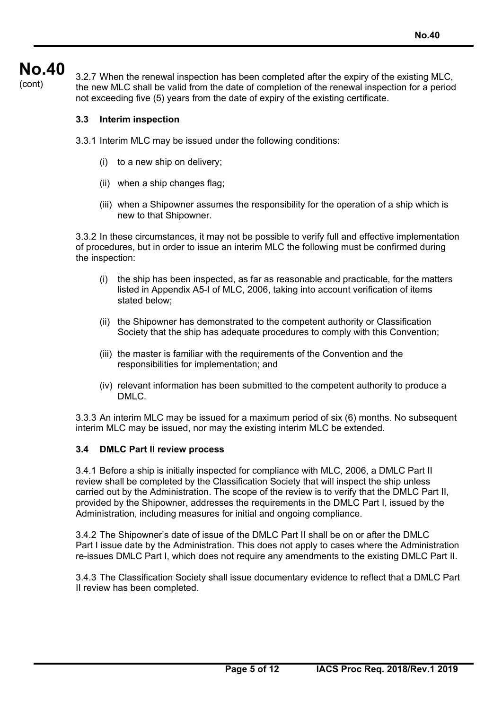# **No.40**

 $\begin{array}{l} \text{11.3.2.7} \\ \text{2.2.7} \\ \text{3.2.7} \end{array}$  When the renewal inspection has been completed after the expiry of the existing MLC,  $\text{const}$ the new MLC shall be valid from the date of completion of the renewal inspection for a period not exceeding five (5) years from the date of expiry of the existing certificate.

### **3.3 Interim inspection**

3.3.1 Interim MLC may be issued under the following conditions:

- (i) to a new ship on delivery;
- (ii) when a ship changes flag;
- (iii) when a Shipowner assumes the responsibility for the operation of a ship which is new to that Shipowner.

3.3.2 In these circumstances, it may not be possible to verify full and effective implementation of procedures, but in order to issue an interim MLC the following must be confirmed during the inspection:

- (i) the ship has been inspected, as far as reasonable and practicable, for the matters listed in Appendix A5-I of MLC, 2006, taking into account verification of items stated below;
- (ii) the Shipowner has demonstrated to the competent authority or Classification Society that the ship has adequate procedures to comply with this Convention;
- (iii) the master is familiar with the requirements of the Convention and the responsibilities for implementation; and
- (iv) relevant information has been submitted to the competent authority to produce a DMLC.

3.3.3 An interim MLC may be issued for a maximum period of six (6) months. No subsequent interim MLC may be issued, nor may the existing interim MLC be extended.

#### **3.4 DMLC Part II review process**

3.4.1 Before a ship is initially inspected for compliance with MLC, 2006, a DMLC Part II review shall be completed by the Classification Society that will inspect the ship unless carried out by the Administration. The scope of the review is to verify that the DMLC Part II, provided by the Shipowner, addresses the requirements in the DMLC Part I, issued by the Administration, including measures for initial and ongoing compliance.

3.4.2 The Shipowner's date of issue of the DMLC Part II shall be on or after the DMLC Part I issue date by the Administration. This does not apply to cases where the Administration re-issues DMLC Part I, which does not require any amendments to the existing DMLC Part II.

3.4.3 The Classification Society shall issue documentary evidence to reflect that a DMLC Part II review has been completed.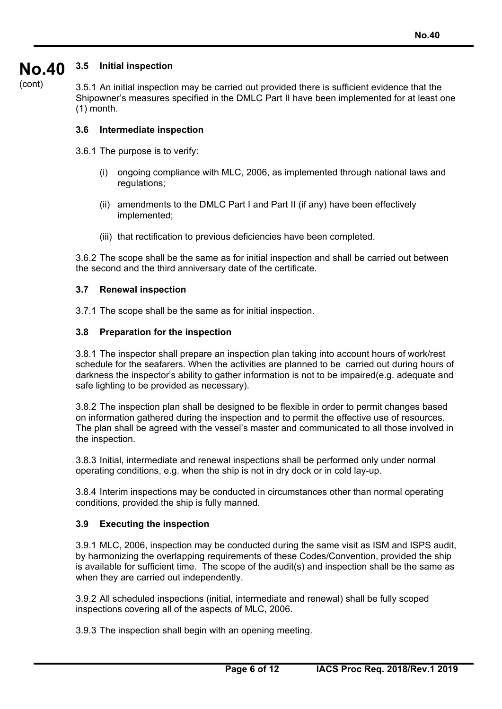#### **No.40 3.5 Initial inspection**

(cont)

3.5.1 An initial inspection may be carried out provided there is sufficient evidence that the Shipowner's measures specified in the DMLC Part II have been implemented for at least one (1) month.

#### **3.6 Intermediate inspection**

- 3.6.1 The purpose is to verify:
	- (i) ongoing compliance with MLC, 2006, as implemented through national laws and regulations;
	- (ii) amendments to the DMLC Part I and Part II (if any) have been effectively implemented;
	- (iii) that rectification to previous deficiencies have been completed.

3.6.2 The scope shall be the same as for initial inspection and shall be carried out between the second and the third anniversary date of the certificate.

#### **3.7 Renewal inspection**

3.7.1 The scope shall be the same as for initial inspection.

#### **3.8 Preparation for the inspection**

3.8.1 The inspector shall prepare an inspection plan taking into account hours of work/rest schedule for the seafarers. When the activities are planned to be carried out during hours of darkness the inspector's ability to gather information is not to be impaired(e.g. adequate and safe lighting to be provided as necessary).

3.8.2 The inspection plan shall be designed to be flexible in order to permit changes based on information gathered during the inspection and to permit the effective use of resources. The plan shall be agreed with the vessel's master and communicated to all those involved in the inspection.

3.8.3 Initial, intermediate and renewal inspections shall be performed only under normal operating conditions, e.g. when the ship is not in dry dock or in cold lay-up.

3.8.4 Interim inspections may be conducted in circumstances other than normal operating conditions, provided the ship is fully manned.

#### **3.9 Executing the inspection**

3.9.1 MLC, 2006, inspection may be conducted during the same visit as ISM and ISPS audit, by harmonizing the overlapping requirements of these Codes/Convention, provided the ship is available for sufficient time. The scope of the audit(s) and inspection shall be the same as when they are carried out independently.

3.9.2 All scheduled inspections (initial, intermediate and renewal) shall be fully scoped inspections covering all of the aspects of MLC, 2006.

3.9.3 The inspection shall begin with an opening meeting.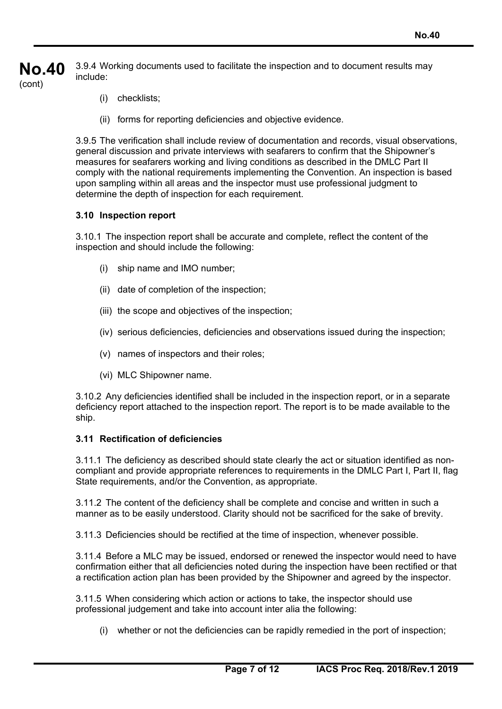**No.40**  (cont) 3.9.4 Working documents used to facilitate the inspection and to document results may include:

- (i) checklists;
- (ii) forms for reporting deficiencies and objective evidence.

3.9.5 The verification shall include review of documentation and records, visual observations, general discussion and private interviews with seafarers to confirm that the Shipowner's measures for seafarers working and living conditions as described in the DMLC Part II comply with the national requirements implementing the Convention. An inspection is based upon sampling within all areas and the inspector must use professional judgment to determine the depth of inspection for each requirement.

#### **3.10 Inspection report**

3.10.1 The inspection report shall be accurate and complete, reflect the content of the inspection and should include the following:

- (i) ship name and IMO number;
- (ii) date of completion of the inspection;
- (iii) the scope and objectives of the inspection;
- (iv) serious deficiencies, deficiencies and observations issued during the inspection;
- (v) names of inspectors and their roles;
- (vi) MLC Shipowner name.

3.10.2 Any deficiencies identified shall be included in the inspection report, or in a separate deficiency report attached to the inspection report. The report is to be made available to the ship.

## **3.11 Rectification of deficiencies**

3.11.1 The deficiency as described should state clearly the act or situation identified as noncompliant and provide appropriate references to requirements in the DMLC Part I, Part II, flag State requirements, and/or the Convention, as appropriate.

3.11.2 The content of the deficiency shall be complete and concise and written in such a manner as to be easily understood. Clarity should not be sacrificed for the sake of brevity.

3.11.3 Deficiencies should be rectified at the time of inspection, whenever possible.

3.11.4 Before a MLC may be issued, endorsed or renewed the inspector would need to have confirmation either that all deficiencies noted during the inspection have been rectified or that a rectification action plan has been provided by the Shipowner and agreed by the inspector.

3.11.5 When considering which action or actions to take, the inspector should use professional judgement and take into account inter alia the following:

(i) whether or not the deficiencies can be rapidly remedied in the port of inspection;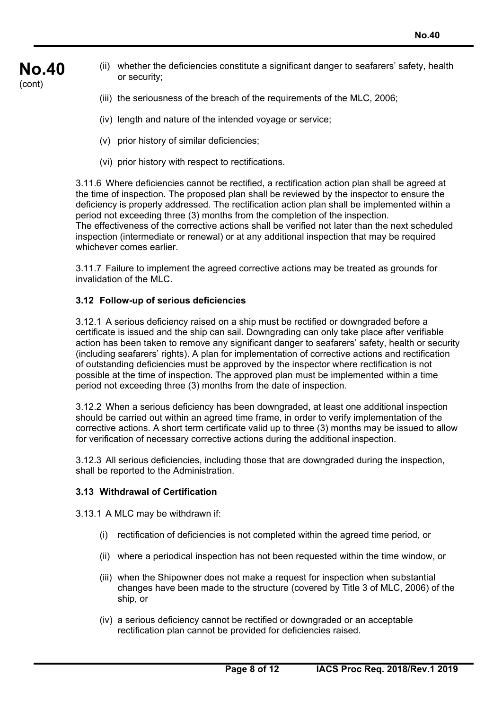- **No.40**  (ii) whether the deficiencies constitute a significant danger to seafarers' safety, health or security;
	- (iii) the seriousness of the breach of the requirements of the MLC, 2006;
	- (iv) length and nature of the intended voyage or service;
	- (v) prior history of similar deficiencies;

(cont)

(vi) prior history with respect to rectifications.

3.11.6 Where deficiencies cannot be rectified, a rectification action plan shall be agreed at the time of inspection. The proposed plan shall be reviewed by the inspector to ensure the deficiency is properly addressed. The rectification action plan shall be implemented within a period not exceeding three (3) months from the completion of the inspection. The effectiveness of the corrective actions shall be verified not later than the next scheduled inspection (intermediate or renewal) or at any additional inspection that may be required whichever comes earlier.

3.11.7 Failure to implement the agreed corrective actions may be treated as grounds for invalidation of the MLC.

#### **3.12 Follow-up of serious deficiencies**

3.12.1 A serious deficiency raised on a ship must be rectified or downgraded before a certificate is issued and the ship can sail. Downgrading can only take place after verifiable action has been taken to remove any significant danger to seafarers' safety, health or security (including seafarers' rights). A plan for implementation of corrective actions and rectification of outstanding deficiencies must be approved by the inspector where rectification is not possible at the time of inspection. The approved plan must be implemented within a time period not exceeding three (3) months from the date of inspection.

3.12.2 When a serious deficiency has been downgraded, at least one additional inspection should be carried out within an agreed time frame, in order to verify implementation of the corrective actions. A short term certificate valid up to three (3) months may be issued to allow for verification of necessary corrective actions during the additional inspection.

3.12.3 All serious deficiencies, including those that are downgraded during the inspection, shall be reported to the Administration.

#### **3.13 Withdrawal of Certification**

3.13.1 A MLC may be withdrawn if:

- (i) rectification of deficiencies is not completed within the agreed time period, or
- (ii) where a periodical inspection has not been requested within the time window, or
- (iii) when the Shipowner does not make a request for inspection when substantial changes have been made to the structure (covered by Title 3 of MLC, 2006) of the ship, or
- (iv) a serious deficiency cannot be rectified or downgraded or an acceptable rectification plan cannot be provided for deficiencies raised.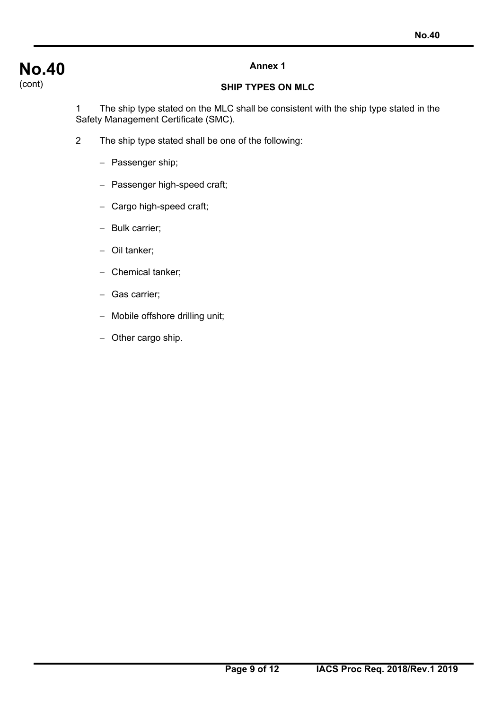# **No.40**  (cont)

# **Annex 1**

# **SHIP TYPES ON MLC**

1 The ship type stated on the MLC shall be consistent with the ship type stated in the Safety Management Certificate (SMC).

- 2 The ship type stated shall be one of the following:
	- Passenger ship;
	- Passenger high-speed craft;
	- Cargo high-speed craft;
	- Bulk carrier;
	- Oil tanker;
	- Chemical tanker;
	- Gas carrier;
	- Mobile offshore drilling unit;
	- Other cargo ship.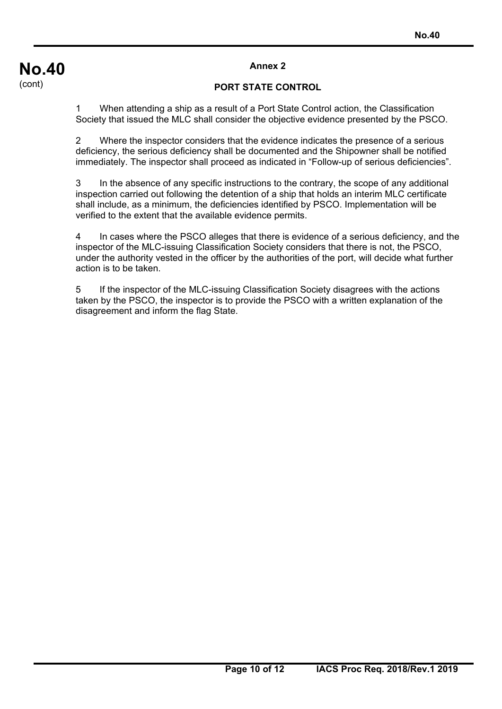#### **Annex 2**

#### **PORT STATE CONTROL**

1 When attending a ship as a result of a Port State Control action, the Classification Society that issued the MLC shall consider the objective evidence presented by the PSCO.

2 Where the inspector considers that the evidence indicates the presence of a serious deficiency, the serious deficiency shall be documented and the Shipowner shall be notified immediately. The inspector shall proceed as indicated in "Follow-up of serious deficiencies".

3 In the absence of any specific instructions to the contrary, the scope of any additional inspection carried out following the detention of a ship that holds an interim MLC certificate shall include, as a minimum, the deficiencies identified by PSCO. Implementation will be verified to the extent that the available evidence permits.

4 In cases where the PSCO alleges that there is evidence of a serious deficiency, and the inspector of the MLC-issuing Classification Society considers that there is not, the PSCO, under the authority vested in the officer by the authorities of the port, will decide what further action is to be taken.

5 If the inspector of the MLC-issuing Classification Society disagrees with the actions taken by the PSCO, the inspector is to provide the PSCO with a written explanation of the disagreement and inform the flag State.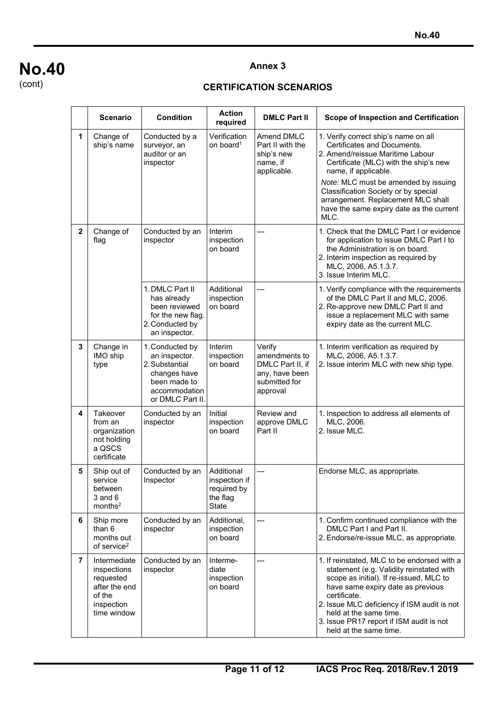# **No.40**

(cont)

#### **Annex 3**

## **CERTIFICATION SCENARIOS**

|                | <b>Scenario</b>                                                                                  | <b>Condition</b>                                                                                                        | <b>Action</b><br>required                                              | <b>DMLC Part II</b>                                                                        | Scope of Inspection and Certification                                                                                                                                                                                                                                                                                                  |
|----------------|--------------------------------------------------------------------------------------------------|-------------------------------------------------------------------------------------------------------------------------|------------------------------------------------------------------------|--------------------------------------------------------------------------------------------|----------------------------------------------------------------------------------------------------------------------------------------------------------------------------------------------------------------------------------------------------------------------------------------------------------------------------------------|
| 1              | Change of<br>ship's name                                                                         | Conducted by a<br>surveyor, an<br>auditor or an<br>inspector                                                            | Verification<br>on board <sup>1</sup>                                  | Amend DMLC<br>Part II with the<br>ship's new<br>name, if<br>applicable.                    | 1. Verify correct ship's name on all<br>Certificates and Documents.<br>2. Amend/reissue Maritime Labour<br>Certificate (MLC) with the ship's new<br>name, if applicable.<br>Note: MLC must be amended by issuing                                                                                                                       |
|                |                                                                                                  |                                                                                                                         |                                                                        |                                                                                            | Classification Society or by special<br>arrangement. Replacement MLC shall<br>have the same expiry date as the current<br>MLC.                                                                                                                                                                                                         |
| $\mathbf{2}$   | Change of<br>flag                                                                                | Conducted by an<br>inspector                                                                                            | Interim<br>inspection<br>on board                                      | ---                                                                                        | 1. Check that the DMLC Part I or evidence<br>for application to issue DMLC Part I to<br>the Administration is on board.<br>2. Interim inspection as required by<br>MLC, 2006, A5.1.3.7.<br>3. Issue Interim MLC.                                                                                                                       |
|                |                                                                                                  | 1. DMLC Part II<br>has already<br>been reviewed<br>for the new flag.<br>2. Conducted by<br>an inspector.                | Additional<br>inspection<br>on board                                   | $---$                                                                                      | 1. Verify compliance with the requirements<br>of the DMLC Part II and MLC, 2006.<br>2. Re-approve new DMLC Part II and<br>issue a replacement MLC with same<br>expiry date as the current MLC.                                                                                                                                         |
| 3              | Change in<br>IMO ship<br>type                                                                    | 1. Conducted by<br>an inspector.<br>2. Substantial<br>changes have<br>been made to<br>accommodation<br>or DMLC Part II. | Interim<br>inspection<br>on board                                      | Verify<br>amendments to<br>DMLC Part II, if<br>any, have been<br>submitted for<br>approval | 1. Interim verification as required by<br>MLC, 2006, A5.1.3.7.<br>2. Issue interim MLC with new ship type.                                                                                                                                                                                                                             |
| 4              | Takeover<br>from an<br>organization<br>not holding<br>a QSCS<br>certificate                      | Conducted by an<br>inspector                                                                                            | Initial<br>inspection<br>on board                                      | Review and<br>approve DMLC<br>Part II                                                      | 1. Inspection to address all elements of<br>MLC, 2006.<br>2. Issue MLC.                                                                                                                                                                                                                                                                |
| 5              | Ship out of<br>service<br>between<br>$3$ and $6$<br>months <sup>2</sup>                          | Conducted by an<br>Inspector                                                                                            | Additional<br>inspection if<br>required by<br>the flag<br><b>State</b> | ---                                                                                        | Endorse MLC, as appropriate.                                                                                                                                                                                                                                                                                                           |
| 6              | Ship more<br>than 6<br>months out<br>of service <sup>2</sup>                                     | Conducted by an<br>inspector                                                                                            | Additional,<br>inspection<br>on board                                  | ---                                                                                        | 1. Confirm continued compliance with the<br>DMLC Part I and Part II.<br>2. Endorse/re-issue MLC, as appropriate.                                                                                                                                                                                                                       |
| $\overline{7}$ | Intermediate<br>inspections<br>requested<br>after the end<br>of the<br>inspection<br>time window | Conducted by an<br>inspector                                                                                            | Interme-<br>diate<br>inspection<br>on board                            | $\hspace{0.05cm}---\hspace{0.05cm}$                                                        | 1. If reinstated, MLC to be endorsed with a<br>statement (e.g. Validity reinstated with<br>scope as initial). If re-issued, MLC to<br>have same expiry date as previous<br>certificate.<br>2. Issue MLC deficiency if ISM audit is not<br>held at the same time.<br>3. Issue PR17 report if ISM audit is not<br>held at the same time. |